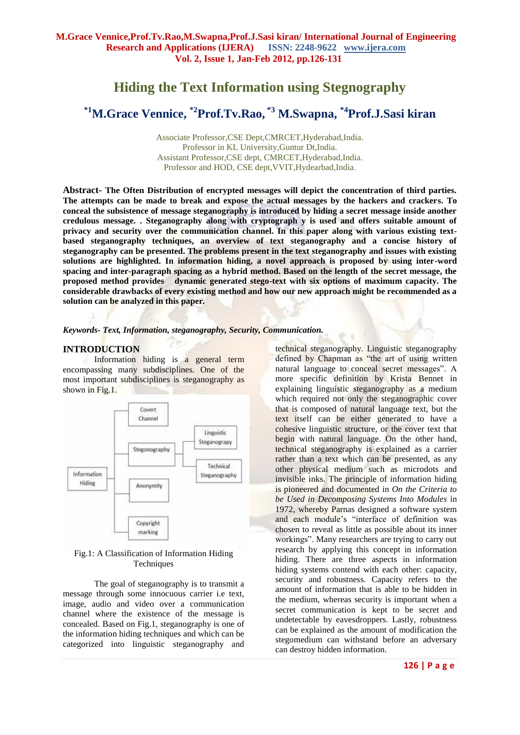## **Hiding the Text Information using Stegnography**

# **\*1M.Grace Vennice, \*2Prof.Tv.Rao, \*3 M.Swapna, \*4Prof.J.Sasi kiran**

Associate Professor,CSE Dept,CMRCET,Hyderabad,India. Professor in KL University,Guntur Dt,India. Assistant Professor,CSE dept, CMRCET,Hyderabad,India. Professor and HOD, CSE dept,VVIT,Hydearbad,India.

**Abstract- The Often Distribution of encrypted messages will depict the concentration of third parties. The attempts can be made to break and expose the actual messages by the hackers and crackers. To conceal the subsistence of message steganography is introduced by hiding a secret message inside another credulous message. . Steganography along with cryptograph y is used and offers suitable amount of privacy and security over the communication channel. In this paper along with various existing textbased steganography techniques, an overview of text steganography and a concise history of steganography can be presented. The problems present in the text steganography and issues with existing solutions are highlighted. In information hiding, a novel approach is proposed by using inter-word spacing and inter-paragraph spacing as a hybrid method. Based on the length of the secret message, the proposed method provides dynamic generated stego-text with six options of maximum capacity. The considerable drawbacks of every existing method and how our new approach might be recommended as a solution can be analyzed in this paper***.*

#### *Keywords- Text, Information, steganography, Security, Communication.*

#### **INTRODUCTION**

Information hiding is a general term encompassing many subdisciplines. One of the most important subdisciplines is steganography as shown in Fig.1.



#### Fig.1: A Classification of Information Hiding **Techniques**

The goal of steganography is to transmit a message through some innocuous carrier i.e text, image, audio and video over a communication channel where the existence of the message is concealed. Based on Fig.1, steganography is one of the information hiding techniques and which can be categorized into linguistic steganography and

technical steganography. Linguistic steganography defined by Chapman as "the art of using written natural language to conceal secret messages". A more specific definition by Krista Bennet in explaining linguistic steganography as a medium which required not only the steganographic cover that is composed of natural language text, but the text itself can be either generated to have a cohesive linguistic structure, or the cover text that begin with natural language. On the other hand, technical steganography is explained as a carrier rather than a text which can be presented, as any other physical medium such as microdots and invisible inks. The principle of information hiding is pioneered and documented in *On the Criteria to be Used in Decomposing Systems Into Modules* in 1972, whereby Parnas designed a software system and each module's "interface of definition was chosen to reveal as little as possible about its inner workings". Many researchers are trying to carry out research by applying this concept in information hiding. There are three aspects in information hiding systems contend with each other: capacity, security and robustness. Capacity refers to the amount of information that is able to be hidden in the medium, whereas security is important when a secret communication is kept to be secret and undetectable by eavesdroppers. Lastly, robustness can be explained as the amount of modification the stegomedium can withstand before an adversary can destroy hidden information.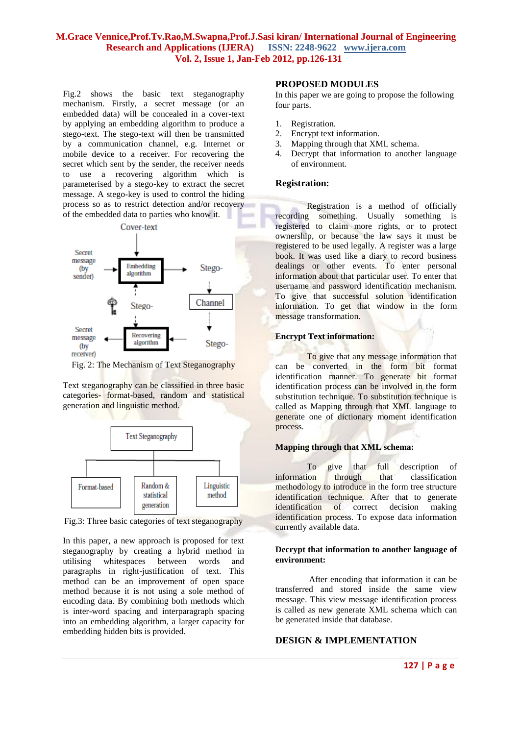Fig.2 shows the basic text steganography mechanism. Firstly, a secret message (or an embedded data) will be concealed in a cover-text by applying an embedding algorithm to produce a stego-text. The stego-text will then be transmitted by a communication channel, e.g. Internet or mobile device to a receiver. For recovering the secret which sent by the sender, the receiver needs to use a recovering algorithm which is parameterised by a stego-key to extract the secret message. A stego-key is used to control the hiding process so as to restrict detection and/or recovery of the embedded data to parties who know it.



Fig. 2: The Mechanism of Text Steganography

Text steganography can be classified in three basic categories- format-based, random and statistical generation and linguistic method.



Fig.3: Three basic categories of text steganography

In this paper, a new approach is proposed for text steganography by creating a hybrid method in utilising whitespaces between words and paragraphs in right-justification of text. This method can be an improvement of open space method because it is not using a sole method of encoding data. By combining both methods which is inter-word spacing and interparagraph spacing into an embedding algorithm, a larger capacity for embedding hidden bits is provided.

## **PROPOSED MODULES**

In this paper we are going to propose the following four parts.

- 1. Registration.
- 2. Encrypt text information.
- 3. Mapping through that XML schema.
- 4. Decrypt that information to another language of environment.

#### **Registration:**

Registration is a method of officially recording something. Usually something is registered to claim more rights, or to protect ownership, or because the law says it must be registered to be used legally. A register was a large book. It was used like a diary to record business dealings or other events. To enter personal information about that particular user. To enter that username and password identification mechanism. To give that successful solution identification information. To get that window in the form message transformation.

#### **Encrypt Text information:**

To give that any message information that can be converted in the form bit format identification manner. To generate bit format identification process can be involved in the form substitution technique. To substitution technique is called as Mapping through that XML language to generate one of dictionary moment identification process.

#### **Mapping through that XML schema:**

To give that full description of information through that classification methodology to introduce in the form tree structure identification technique. After that to generate identification of correct decision making identification process. To expose data information currently available data.

#### **Decrypt that information to another language of environment:**

After encoding that information it can be transferred and stored inside the same view message. This view message identification process is called as new generate XML schema which can be generated inside that database.

## **DESIGN & IMPLEMENTATION**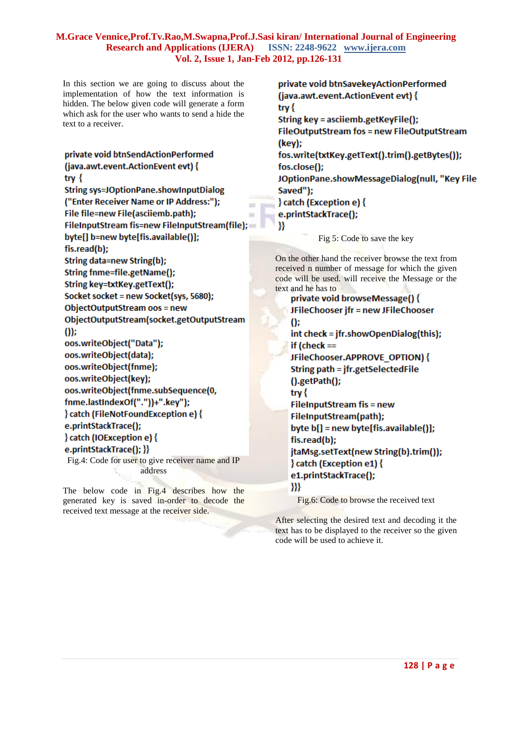In this section we are going to discuss about the implementation of how the text information is hidden. The below given code will generate a form which ask for the user who wants to send a hide the text to a receiver.

```
private void btnSendActionPerformed
(java.awt.event.ActionEvent evt) {
try \{String sys=JOptionPane.showInputDialog
("Enter Receiver Name or IP Address:");
                                              m.
File file=new File(asciiemb.path);
                                              u,
FileInputStream fis=new FileInputStream(file);
byte[] b=new byte[fis.available()];
fis.read(b);
String data=new String(b);
String fnme=file.getName();
String key=txtKey.getText();
Socket socket = new Socket(sys, 5680);
ObjectOutputStream oos = new
ObjectOutputStream(socket.getOutputStream
(1)oos.writeObject("Data");
oos.writeObject(data);
oos.writeObject(fnme);
oos.writeObject(key);
oos.writeObject(fnme.subSequence(0,
fnme.lastIndexOf("."))+".key");
} catch (FileNotFoundException e) {
e.printStackTrace();
} catch (IOException e) {
e.printStackTrace(); }}
Fig.4: Code for user to give receiver name and IP 
                   address
```
The below code in Fig.4 describes how the generated key is saved in-order to decode the received text message at the receiver side.

private void btnSavekeyActionPerformed (java.awt.event.ActionEvent evt) { try  $\{$ String key = asciiemb.getKeyFile(); FileOutputStream fos = new FileOutputStream (key); fos.write(txtKey.getText().trim().getBytes()); fos.close(); JOptionPane.showMessageDialog(null, "Key File Saved"); } catch (Exception e) { e.printStackTrace(); }} Fig 5: Code to save the key

On the other hand the receiver browse the text from received n number of message for which the given code will be used. will receive the Message or the text and he has to

```
private void browseMessage() {
JFileChooser jfr = new JFileChooser
\Omegaint check = jfr.showOpenDialog(this);
if lcheck ==
JFileChooser.APPROVE OPTION) {
String path = jfr.getSelectedFile
().getPath();
try {
FileInputStream fis = new
FileInputStream(path):
byte b[] = new byte[fis.available()];
fis.read(b);
jtaMsg.setText(new String(b).trim());
} catch (Exception e1) {
e1.printStackTrace();
- }}}
```
Fig.6: Code to browse the received text

After selecting the desired text and decoding it the text has to be displayed to the receiver so the given code will be used to achieve it.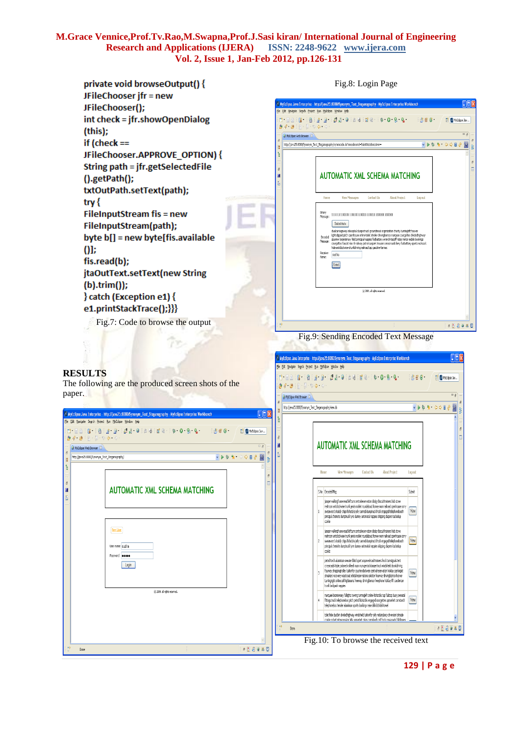

**129 | P a g e**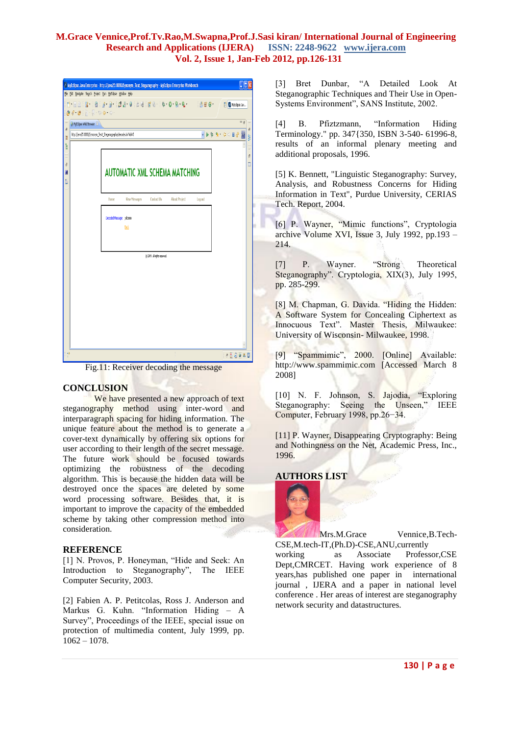| MyEclipse Java Enterprise - http://java25:8080/Synonym_Text_Steganography - MyEclipse Enterprise Workbench<br>$\blacksquare$<br>File Edit Navigate Search Project Run MyEclipse Window Help |                                                               |                                     |
|---------------------------------------------------------------------------------------------------------------------------------------------------------------------------------------------|---------------------------------------------------------------|-------------------------------------|
| <b>FOR THE REAL PROPERTY AND INC.</b><br>■ 普普 6<br><sup>2</sup> MyEdipse Jav<br>$0.4.0$ : $0.5.00$ or $0.1$                                                                                 |                                                               |                                     |
| $\bar{c}$                                                                                                                                                                                   | MyEdipse Web Browser                                          | $=$ $\frac{1}{2}$<br>$\tilde{c}$    |
| H                                                                                                                                                                                           | http://java25:8080/Synonym_Text_Steganography/decode.do?hid=5 | $\sigma^0$<br>V D D D Q O D O<br>Ŗ. |
| ŀ                                                                                                                                                                                           |                                                               | $\wedge$                            |
| $\bar{c}$                                                                                                                                                                                   |                                                               | $\bar{c}$<br>E                      |
| ā                                                                                                                                                                                           | <b>AUTOMATIC XML SCHEMA MATCHING</b>                          |                                     |
| È                                                                                                                                                                                           |                                                               |                                     |
|                                                                                                                                                                                             | Home<br><b>Yiew Messages</b><br>Contact Us                    | <b>About Project</b><br>Log out     |
|                                                                                                                                                                                             | Decoded Message: pelcome                                      |                                     |
|                                                                                                                                                                                             | Bab                                                           |                                     |
|                                                                                                                                                                                             |                                                               |                                     |
|                                                                                                                                                                                             | (c) 2009. all rights reserved.                                |                                     |
|                                                                                                                                                                                             |                                                               |                                     |
|                                                                                                                                                                                             |                                                               |                                     |
|                                                                                                                                                                                             |                                                               |                                     |
|                                                                                                                                                                                             |                                                               |                                     |
|                                                                                                                                                                                             |                                                               |                                     |
|                                                                                                                                                                                             |                                                               |                                     |
|                                                                                                                                                                                             |                                                               |                                     |
| H9                                                                                                                                                                                          |                                                               | 日長病事処国                              |

Fig.11: Receiver decoding the message

## **CONCLUSION**

We have presented a new approach of text steganography method using inter-word and interparagraph spacing for hiding information. The unique feature about the method is to generate a cover-text dynamically by offering six options for user according to their length of the secret message. The future work should be focused towards optimizing the robustness of the decoding algorithm. This is because the hidden data will be destroyed once the spaces are deleted by some word processing software. Besides that, it is important to improve the capacity of the embedded scheme by taking other compression method into consideration.

## **REFERENCE**

[1] N. Provos, P. Honeyman, "Hide and Seek: An Introduction to Steganography", The IEEE Computer Security, 2003.

[2] Fabien A. P. Petitcolas, Ross J. Anderson and Markus G. Kuhn. "Information Hiding – A Survey", Proceedings of the IEEE, special issue on protection of multimedia content, July 1999, pp.  $1062 - 1078$ .

[3] Bret Dunbar, "A Detailed Look At Steganographic Techniques and Their Use in Open-Systems Environment", SANS Institute, 2002.

[4] B. Pfiztzmann, "Information Hiding Terminology." pp. 347{350, ISBN 3-540- 61996-8, results of an informal plenary meeting and additional proposals, 1996.

[5] K. Bennett, "Linguistic Steganography: Survey, Analysis, and Robustness Concerns for Hiding Information in Text", Purdue University, CERIAS Tech. Report, 2004.

[6] P. Wayner, "Mimic functions", Cryptologia archive Volume XVI, Issue 3, July 1992, pp.193 – 214.

[7] P. Wayner. "Strong Theoretical Steganography". Cryptologia, XIX(3), July 1995, pp. 285-299.

[8] M. Chapman, G. Davida. "Hiding the Hidden: A Software System for Concealing Ciphertext as Innocuous Text". Master Thesis, Milwaukee: University of Wisconsin- Milwaukee, 1998.

[9] "Spammimic", 2000. [Online] Available: http://www.spammimic.com [Accessed March 8 2008]

[10] N. F. Johnson, S. Jajodia, "Exploring Steganography: Seeing the Unseen," IEEE Computer, February 1998, pp.26−34.

[11] P. Wayner, Disappearing Cryptography: Being and Nothingness on the Net, Academic Press, Inc., 1996.

## **AUTHORS LIST**



Mrs.M.Grace Vennice, B.Tech-CSE,M.tech-IT,(Ph.D)-CSE,ANU,currently

working as Associate Professor,CSE Dept,CMRCET. Having work experience of 8 years,has published one paper in international journal , IJERA and a paper in national level conference . Her areas of interest are steganography network security and datastructures.